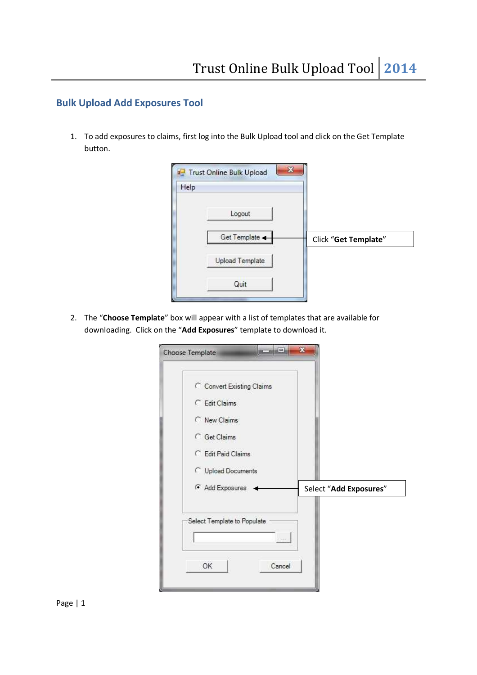## **Bulk Upload Add Exposures Tool**

1. To add exposures to claims, first log into the Bulk Upload tool and click on the Get Template button.

| Help |                        |                      |
|------|------------------------|----------------------|
|      | Logout                 |                      |
|      | Get Template           | Click "Get Template" |
|      | <b>Upload Template</b> |                      |
|      | Quit                   |                      |

2. The "**Choose Template**" box will appear with a list of templates that are available for downloading. Click on the "**Add Exposures**" template to download it.

| C Convert Existing Claims   |                        |
|-----------------------------|------------------------|
| C Edit Claims               |                        |
| New Claims                  |                        |
| <b>C</b> Get Claims         |                        |
| C Edit Paid Claims          |                        |
| C Upload Documents          |                        |
| Add Exposures               | Select "Add Exposures" |
|                             |                        |
| Select Template to Populate |                        |
| $-1111 -$                   |                        |
|                             |                        |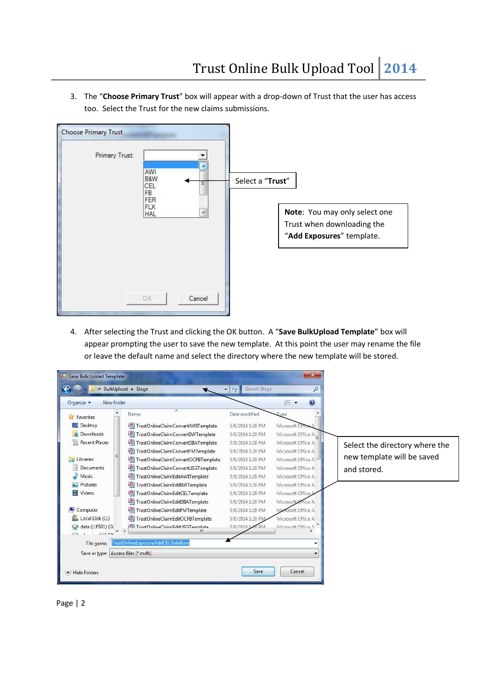3. The "**Choose Primary Trust**" box will appear with a drop-down of Trust that the user has access too. Select the Trust for the new claims submissions.

| r<br><b>Choose Primary Trust</b> |                |                                              |        |                  |                                                             |
|----------------------------------|----------------|----------------------------------------------|--------|------------------|-------------------------------------------------------------|
|                                  | Primary Trust: | AWI<br>B&W<br>CEL<br>FB<br>FER<br><b>FLX</b> | ⋍      | Select a "Trust" |                                                             |
|                                  |                | <b>HAL</b>                                   | T      |                  | Note: You may only select one<br>Trust when downloading the |
|                                  |                |                                              |        |                  | "Add Exposures" template.                                   |
|                                  |                |                                              |        |                  |                                                             |
|                                  |                |                                              |        |                  |                                                             |
|                                  |                | OK                                           | Cancel |                  |                                                             |

4. After selecting the Trust and clicking the OK button. A "**Save BulkUpload Template**" box will appear prompting the user to save the new template. At this point the user may rename the file or leave the default name and select the directory where the new template will be stored.

| Organize -<br>New folder           | ×.                                           |                                   | $\odot$<br><b>胜 ▼</b>   |                                |
|------------------------------------|----------------------------------------------|-----------------------------------|-------------------------|--------------------------------|
| Favorites<br>Desktop               | Name<br>7 TrustOnlineClaimConvertAWITemplate | Date modified<br>5/6/2014 1:28 PM | Type<br>Microsoft Offic |                                |
| Downloads                          | 四<br>TrustOnlineClaimConvertBWTemplate       | 5/6/2014 1:28 PM                  | Microsoft Office A      |                                |
| 颿<br><b>Recent Places</b>          | TrustOnlineClaimConvertDIIATemplate          | 5/6/2014 1:28 PM                  | Microsoft Office A      | Select the directory where the |
|                                    | 21<br>TrustOnlineClaimConvertFMTemplate      | 5/6/2014 1:28 PM                  | Microsoft Office A      |                                |
| Libraries                          | TrustOnlineClaimConvertOCFBTemplate          | 5/6/2014 1:28 PM                  | Microsoft Office A      | new template will be saved     |
| 긬<br>Documents                     | TrustOnlineClaimConvertUSGTemplate           | 5/6/2014 1:28 PM                  | Microsoft Office A      | and stored.                    |
| Music                              | 21<br>TrustOnlineClaimEditAWITemplate        | 5/6/2014 1:28 PM                  | Microsoft Office A      |                                |
| <b>Pictures</b>                    | 의<br>TrustOnlineClaimEditBWTemplate          | 5/6/2014 1:28 PM                  | Microsoft Office A      |                                |
| Videos                             | TrustOnlineClaimEditCELTemplate              | 5/6/2014 1:28 PM                  | Microsoft Office        |                                |
|                                    | 四<br>TrustOnlineClaimEditDIIATemplate        | 5/6/2014 1:28 PM                  | Microsoft Office A      |                                |
| Computer                           | TrustOnlineClaimEditFMTemplate               | 5/6/2014 1:28 PM                  | Microsoft Office A      |                                |
| Local Disk (C:)                    | 21<br>TrustOnlineClaimEditOCFBTemplate       | 5/6/2014 1:28 PM                  | Microsoft Office A      |                                |
| data (\\FS01) (G:<br>nir nm        | Al TruetOnlineClaimEditLISGTemnlate<br>ш     | 5/6/2014 1:28 DM                  | Microsoft Office A      |                                |
| File name:                         | FrustOnlineExposureAddCELDataBase            |                                   |                         |                                |
| Save as type: Access files (*.mdb) |                                              |                                   |                         |                                |

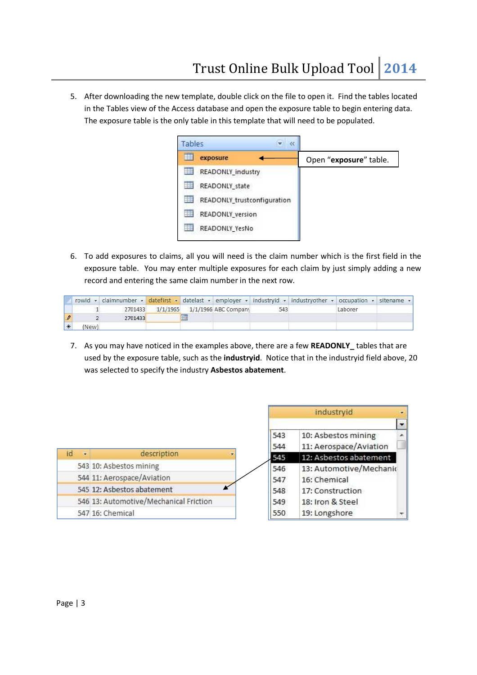5. After downloading the new template, double click on the file to open it. Find the tables located in the Tables view of the Access database and open the exposure table to begin entering data. The exposure table is the only table in this template that will need to be populated.



6. To add exposures to claims, all you will need is the claim number which is the first field in the exposure table. You may enter multiple exposures for each claim by just simply adding a new record and entering the same claim number in the next row.

|               |       |         |          |                     |                        |     | rowld - claimnumber - datefirst - datelast - employer - industryid - industryother - occupation - sitename - |         |  |
|---------------|-------|---------|----------|---------------------|------------------------|-----|--------------------------------------------------------------------------------------------------------------|---------|--|
|               |       | 2701433 | 1/1/1965 |                     | $1/1/1966$ ABC Company | 543 |                                                                                                              | Laborer |  |
| $\mathscr{P}$ |       | 2701433 |          | <b>Johnson</b><br>珊 |                        |     |                                                                                                              |         |  |
| ₩             | (New) |         |          |                     |                        |     |                                                                                                              |         |  |

7. As you may have noticed in the examples above, there are a few **READONLY\_** tables that are used by the exposure table, such as the **industryid**. Notice that in the industryid field above, 20 was selected to specify the industry **Asbestos abatement**.

|         |                                        |            | industryid                                    | $\overline{ }$         |
|---------|----------------------------------------|------------|-----------------------------------------------|------------------------|
|         |                                        |            |                                               | $\left  \cdot \right $ |
|         |                                        | 543<br>544 | 10: Asbestos mining<br>11: Aerospace/Aviation |                        |
| id<br>÷ | description                            | 545        | 12: Asbestos abatement                        |                        |
|         | 543 10: Asbestos mining                | 546        | 13: Automotive/Mechanic                       |                        |
|         | 544 11: Aerospace/Aviation             | 547        | 16: Chemical                                  |                        |
|         | 545 12: Asbestos abatement             | 548        | 17: Construction                              |                        |
|         | 546 13: Automotive/Mechanical Friction | 549        | 18: Iron & Steel                              |                        |
|         | 547 16: Chemical                       | 550        | 19: Longshore                                 |                        |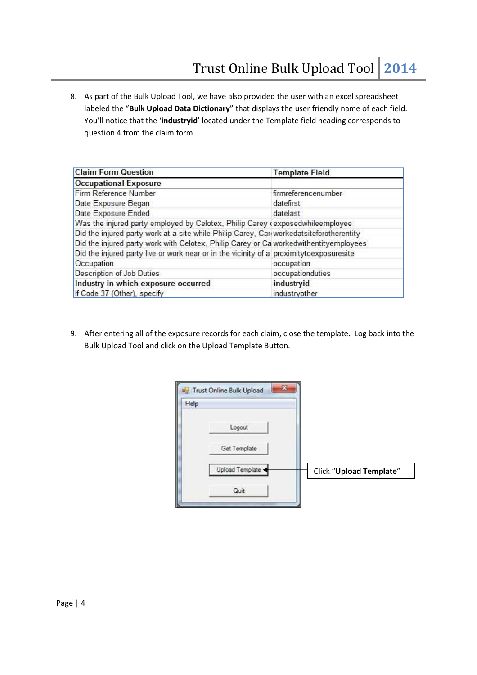8. As part of the Bulk Upload Tool, we have also provided the user with an excel spreadsheet labeled the "**Bulk Upload Data Dictionary**" that displays the user friendly name of each field. You'll notice that the '**industryid**' located under the Template field heading corresponds to question 4 from the claim form.

| <b>Claim Form Question</b>                                                               | <b>Template Field</b> |
|------------------------------------------------------------------------------------------|-----------------------|
| <b>Occupational Exposure</b>                                                             |                       |
| Firm Reference Number                                                                    | firmreferencenumber   |
| Date Exposure Began                                                                      | datefirst             |
| Date Exposure Ended                                                                      | datelast              |
| Was the injured party employed by Celotex, Philip Carey (exposedwhileemployee            |                       |
| Did the injured party work at a site while Philip Carey, Cari workedatsiteforotherentity |                       |
| Did the injured party work with Celotex, Philip Carey or Ca workedwithentityemployees    |                       |
| Did the injured party live or work near or in the vicinity of a proximitytoexposuresite  |                       |
| Occupation                                                                               | occupation            |
| Description of Job Duties                                                                | occupationduties      |
| Industry in which exposure occurred                                                      | industryid            |
| If Code 37 (Other), specify                                                              | industryother         |

9. After entering all of the exposure records for each claim, close the template. Log back into the Bulk Upload Tool and click on the Upload Template Button.

| Help |                 |                                |
|------|-----------------|--------------------------------|
|      | Logout          |                                |
|      | Get Template    |                                |
|      | Upload Template | <b>Click "Upload Template"</b> |